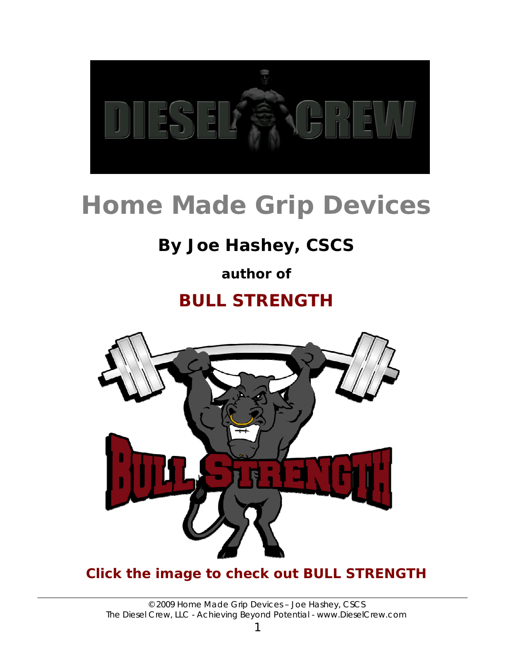

# **Home Made Grip Devices**

## **By Joe Hashey, CSCS**

### **author of**

### **BULL STRENGTH**



### **[Click the image to check out BULL STRENGTH](http://jedddiesel.jhashey.hop.clickbank.net)**

© 2009 Home Made Grip Devices – Joe Hashey, CSCS *The Diesel Crew, LLC - Achieving Beyond Potential* - *www.DieselCrew.com*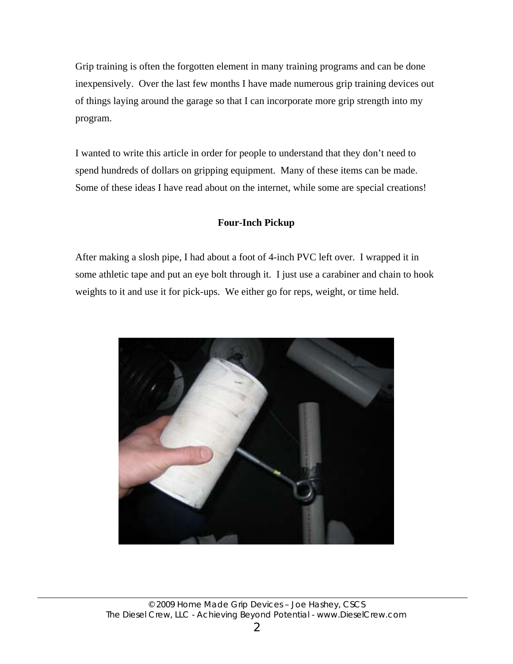Grip training is often the forgotten element in many training programs and can be done inexpensively. Over the last few months I have made numerous grip training devices out of things laying around the garage so that I can incorporate more grip strength into my program.

I wanted to write this article in order for people to understand that they don't need to spend hundreds of dollars on gripping equipment. Many of these items can be made. Some of these ideas I have read about on the internet, while some are special creations!

#### **Four-Inch Pickup**

After making a slosh pipe, I had about a foot of 4-inch PVC left over. I wrapped it in some athletic tape and put an eye bolt through it. I just use a carabiner and chain to hook weights to it and use it for pick-ups. We either go for reps, weight, or time held.

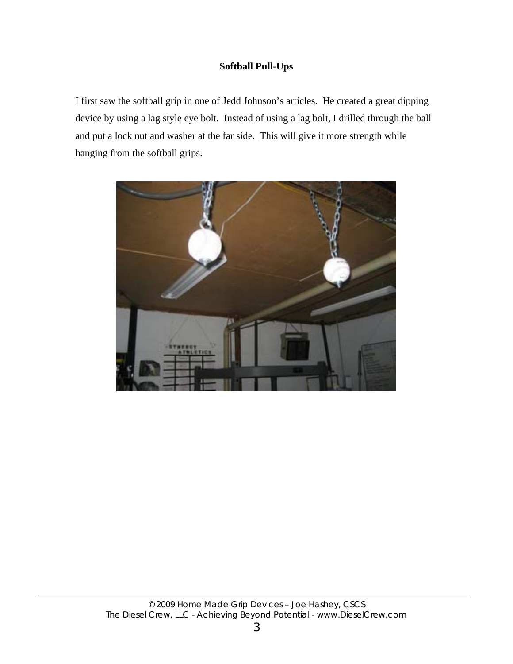#### **Softball Pull-Ups**

I first saw the softball grip in one of Jedd Johnson's articles. He created a great dipping device by using a lag style eye bolt. Instead of using a lag bolt, I drilled through the ball and put a lock nut and washer at the far side. This will give it more strength while hanging from the softball grips.

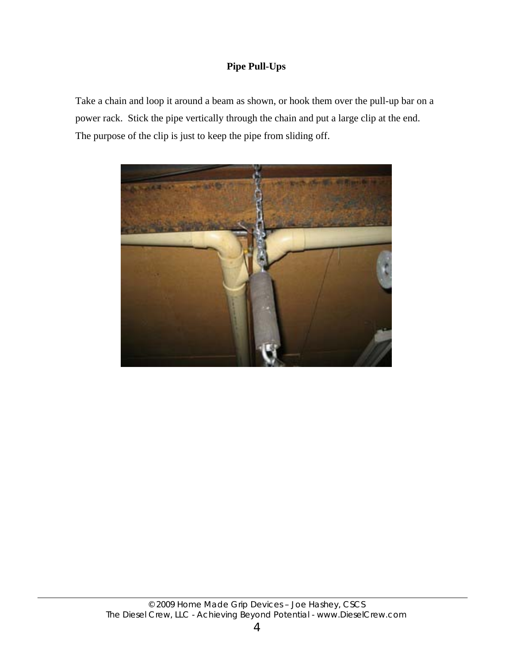#### **Pipe Pull-Ups**

Take a chain and loop it around a beam as shown, or hook them over the pull-up bar on a power rack. Stick the pipe vertically through the chain and put a large clip at the end. The purpose of the clip is just to keep the pipe from sliding off.

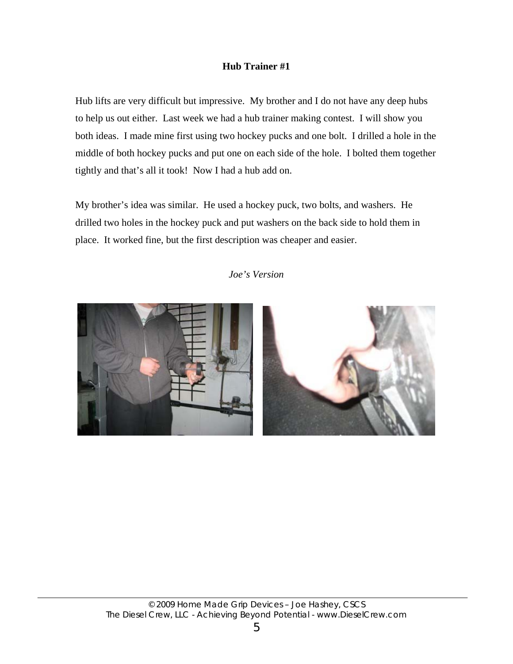#### **Hub Trainer #1**

Hub lifts are very difficult but impressive. My brother and I do not have any deep hubs to help us out either. Last week we had a hub trainer making contest. I will show you both ideas. I made mine first using two hockey pucks and one bolt. I drilled a hole in the middle of both hockey pucks and put one on each side of the hole. I bolted them together tightly and that's all it took! Now I had a hub add on.

My brother's idea was similar. He used a hockey puck, two bolts, and washers. He drilled two holes in the hockey puck and put washers on the back side to hold them in place. It worked fine, but the first description was cheaper and easier.

*Joe's Version* 

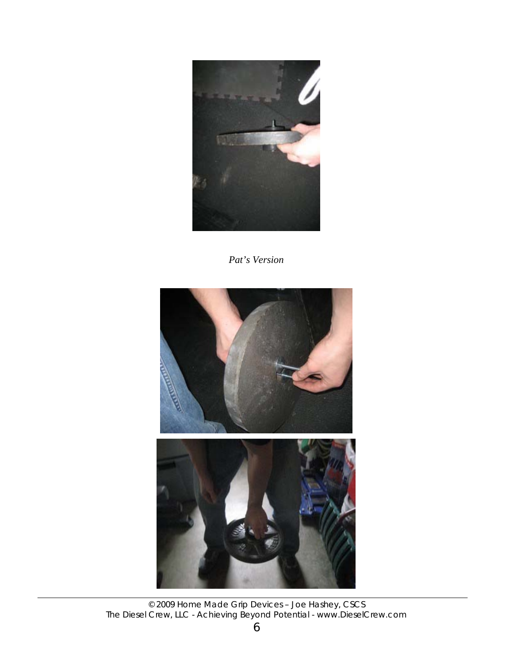

*Pat's Version* 



© 2009 Home Made Grip Devices – Joe Hashey, CSCS *The Diesel Crew, LLC - Achieving Beyond Potential* - *www.DieselCrew.com*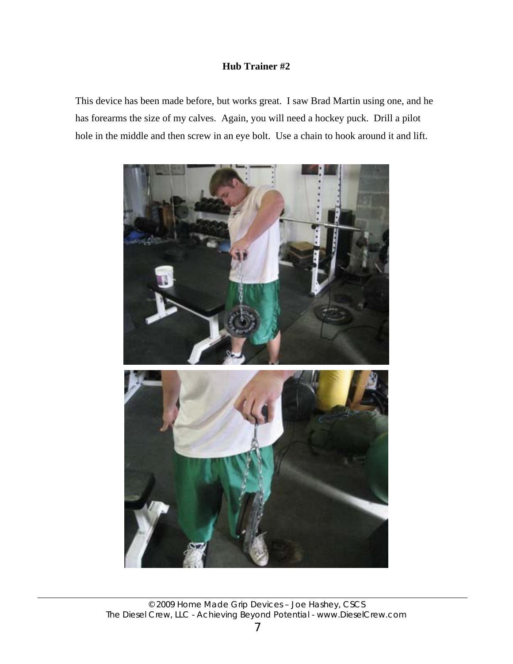#### **Hub Trainer #2**

This device has been made before, but works great. I saw Brad Martin using one, and he has forearms the size of my calves. Again, you will need a hockey puck. Drill a pilot hole in the middle and then screw in an eye bolt. Use a chain to hook around it and lift.

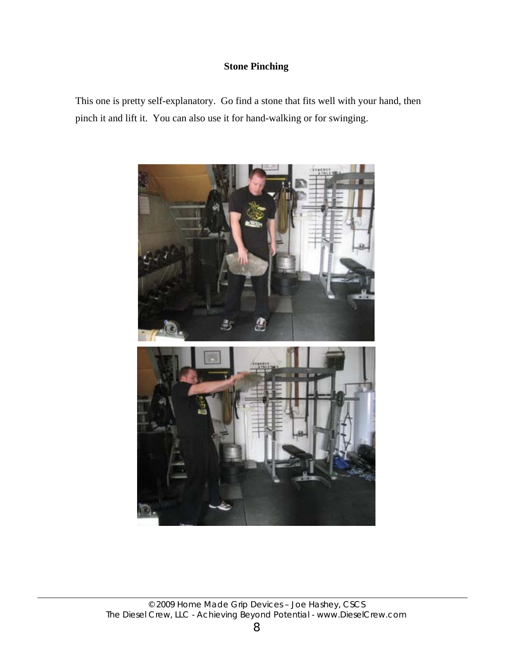#### **Stone Pinching**

This one is pretty self-explanatory. Go find a stone that fits well with your hand, then pinch it and lift it. You can also use it for hand-walking or for swinging.

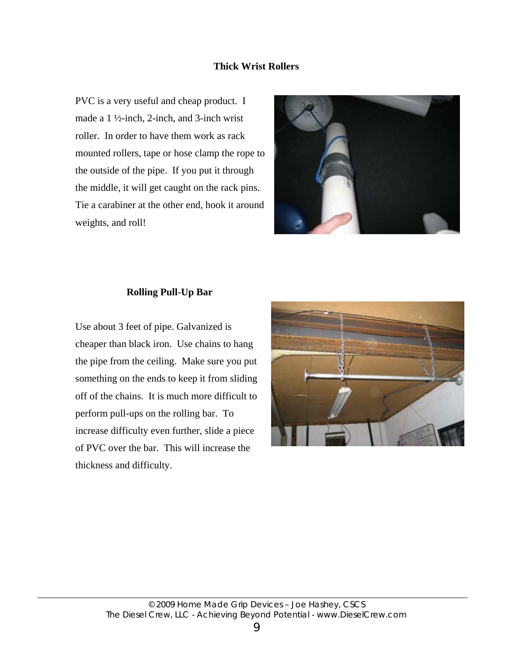#### **Thick Wrist Rollers**

PVC is a very useful and cheap product. I made a 1 ½-inch, 2-inch, and 3-inch wrist roller. In order to have them work as rack mounted rollers, tape or hose clamp the rope to the outside of the pipe. If you put it through the middle, it will get caught on the rack pins. Tie a carabiner at the other end, hook it around weights, and roll!



#### **Rolling Pull-Up Bar**

Use about 3 feet of pipe. Galvanized is cheaper than black iron. Use chains to hang the pipe from the ceiling. Make sure you put something on the ends to keep it from sliding off of the chains. It is much more difficult to perform pull-ups on the rolling bar. To increase difficulty even further, slide a piece of PVC over the bar. This will increase the thickness and difficulty.

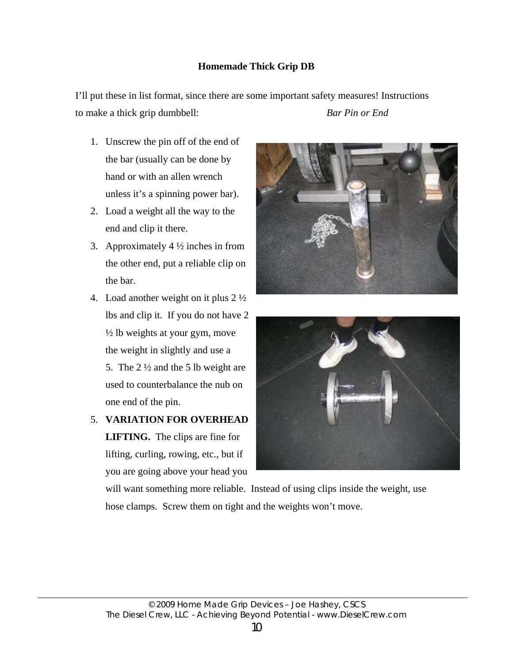#### **Homemade Thick Grip DB**

I'll put these in list format, since there are some important safety measures! Instructions to make a thick grip dumbbell: *Bar Pin or End*

- 1. Unscrew the pin off of the end of the bar (usually can be done by hand or with an allen wrench unless it's a spinning power bar).
- 2. Load a weight all the way to the end and clip it there.
- 3. Approximately  $4\frac{1}{2}$  inches in from the other end, put a reliable clip on the bar.
- 4. Load another weight on it plus 2 ½ lbs and clip it. If you do not have 2 ½ lb weights at your gym, move the weight in slightly and use a 5. The 2 ½ and the 5 lb weight are used to counterbalance the nub on one end of the pin.
- **5. VARIATION FOR OVERHEAD LIFTING.** The clips are fine for lifting, curling, rowing, etc., but if you are going above your head you





will want something more reliable. Instead of using clips inside the weight, use hose clamps. Screw them on tight and the weights won't move.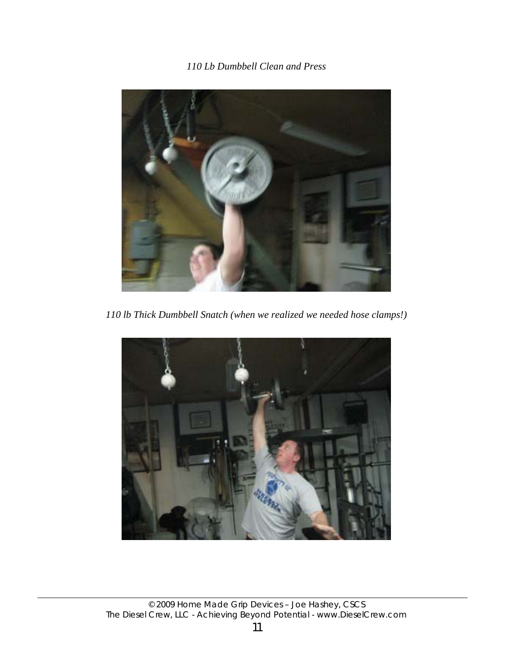*110 Lb Dumbbell Clean and Press*



*110 lb Thick Dumbbell Snatch (when we realized we needed hose clamps!)*